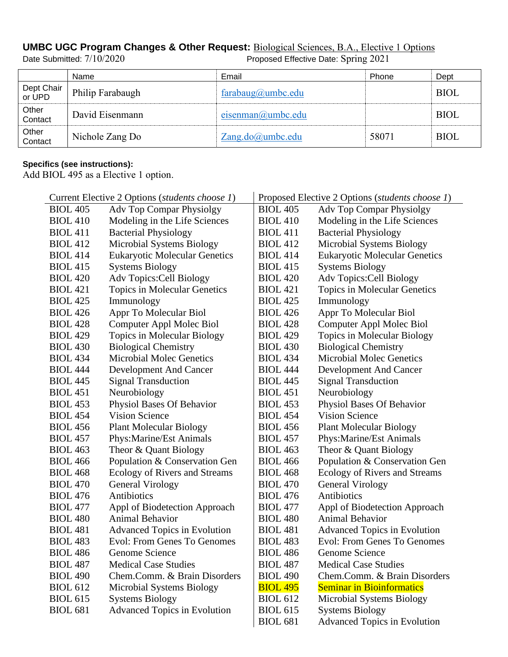## **UMBC UGC Program Changes & Other Request: Biological Sciences, B.A., Elective 1 Options**<br>Date Submitted: 7/10/2020<br>Proposed Effective Date: Spring 2021

## Proposed Effective Date: Spring 2021

|                      | Name             | Email             | Phone | Dept        |
|----------------------|------------------|-------------------|-------|-------------|
| Dept Chair<br>or UPD | Philip Farabaugh | farabaug@umbc.edu |       | <b>BIOL</b> |
| Other<br>Contact     | David Eisenmann  | eisenman@umbc.edu |       | <b>BIOL</b> |
| Other<br>Contact     | Nichole Zang Do  | Zang.do@umbc.edu  | 58071 | <b>BIOL</b> |

## **Specifics (see instructions):**

Add BIOL 495 as a Elective 1 option.

| Current Elective 2 Options (students choose 1) |                                      | Proposed Elective 2 Options (students choose 1) |                                      |  |
|------------------------------------------------|--------------------------------------|-------------------------------------------------|--------------------------------------|--|
| <b>BIOL 405</b>                                | <b>Adv Top Compar Physiolgy</b>      | <b>BIOL 405</b>                                 | <b>Adv Top Compar Physiolgy</b>      |  |
| <b>BIOL 410</b>                                | Modeling in the Life Sciences        | <b>BIOL 410</b>                                 | Modeling in the Life Sciences        |  |
| <b>BIOL 411</b>                                | <b>Bacterial Physiology</b>          | <b>BIOL 411</b>                                 | <b>Bacterial Physiology</b>          |  |
| <b>BIOL 412</b>                                | Microbial Systems Biology            | <b>BIOL 412</b>                                 | <b>Microbial Systems Biology</b>     |  |
| <b>BIOL 414</b>                                | <b>Eukaryotic Molecular Genetics</b> | <b>BIOL 414</b>                                 | <b>Eukaryotic Molecular Genetics</b> |  |
| <b>BIOL 415</b>                                | <b>Systems Biology</b>               | <b>BIOL 415</b>                                 | <b>Systems Biology</b>               |  |
| <b>BIOL 420</b>                                | <b>Adv Topics: Cell Biology</b>      | <b>BIOL 420</b>                                 | Adv Topics: Cell Biology             |  |
| <b>BIOL 421</b>                                | Topics in Molecular Genetics         | <b>BIOL 421</b>                                 | <b>Topics in Molecular Genetics</b>  |  |
| <b>BIOL 425</b>                                | Immunology                           | <b>BIOL 425</b>                                 | Immunology                           |  |
| <b>BIOL 426</b>                                | Appr To Molecular Biol               | <b>BIOL 426</b>                                 | Appr To Molecular Biol               |  |
| <b>BIOL 428</b>                                | Computer Appl Molec Biol             | <b>BIOL 428</b>                                 | Computer Appl Molec Biol             |  |
| <b>BIOL 429</b>                                | Topics in Molecular Biology          | <b>BIOL 429</b>                                 | Topics in Molecular Biology          |  |
| <b>BIOL 430</b>                                | <b>Biological Chemistry</b>          | <b>BIOL 430</b>                                 | <b>Biological Chemistry</b>          |  |
| <b>BIOL 434</b>                                | <b>Microbial Molec Genetics</b>      | <b>BIOL 434</b>                                 | <b>Microbial Molec Genetics</b>      |  |
| <b>BIOL 444</b>                                | Development And Cancer               | <b>BIOL 444</b>                                 | <b>Development And Cancer</b>        |  |
| <b>BIOL 445</b>                                | <b>Signal Transduction</b>           | <b>BIOL 445</b>                                 | <b>Signal Transduction</b>           |  |
| <b>BIOL 451</b>                                | Neurobiology                         | <b>BIOL 451</b>                                 | Neurobiology                         |  |
| <b>BIOL 453</b>                                | Physiol Bases Of Behavior            | <b>BIOL 453</b>                                 | Physiol Bases Of Behavior            |  |
| <b>BIOL 454</b>                                | <b>Vision Science</b>                | <b>BIOL 454</b>                                 | <b>Vision Science</b>                |  |
| <b>BIOL 456</b>                                | <b>Plant Molecular Biology</b>       | <b>BIOL 456</b>                                 | <b>Plant Molecular Biology</b>       |  |
| <b>BIOL 457</b>                                | Phys: Marine/Est Animals             | <b>BIOL 457</b>                                 | Phys: Marine/Est Animals             |  |
| <b>BIOL 463</b>                                | Theor & Quant Biology                | <b>BIOL 463</b>                                 | Theor & Quant Biology                |  |
| <b>BIOL 466</b>                                | Population & Conservation Gen        | <b>BIOL 466</b>                                 | Population & Conservation Gen        |  |
| <b>BIOL 468</b>                                | Ecology of Rivers and Streams        | <b>BIOL 468</b>                                 | Ecology of Rivers and Streams        |  |
| <b>BIOL 470</b>                                | <b>General Virology</b>              | <b>BIOL 470</b>                                 | General Virology                     |  |
| <b>BIOL 476</b>                                | Antibiotics                          | <b>BIOL 476</b>                                 | Antibiotics                          |  |
| <b>BIOL 477</b>                                | Appl of Biodetection Approach        | <b>BIOL 477</b>                                 | Appl of Biodetection Approach        |  |
| <b>BIOL 480</b>                                | Animal Behavior                      | <b>BIOL 480</b>                                 | Animal Behavior                      |  |
| <b>BIOL 481</b>                                | <b>Advanced Topics in Evolution</b>  | <b>BIOL 481</b>                                 | <b>Advanced Topics in Evolution</b>  |  |
| <b>BIOL 483</b>                                | <b>Evol: From Genes To Genomes</b>   | <b>BIOL 483</b>                                 | <b>Evol: From Genes To Genomes</b>   |  |
| <b>BIOL 486</b>                                | Genome Science                       | <b>BIOL 486</b>                                 | Genome Science                       |  |
| <b>BIOL 487</b>                                | <b>Medical Case Studies</b>          | <b>BIOL 487</b>                                 | <b>Medical Case Studies</b>          |  |
| <b>BIOL 490</b>                                | Chem.Comm. & Brain Disorders         | <b>BIOL 490</b>                                 | Chem.Comm. & Brain Disorders         |  |
| <b>BIOL 612</b>                                | Microbial Systems Biology            | <b>BIOL 495</b>                                 | <b>Seminar in Bioinformatics</b>     |  |
| <b>BIOL 615</b>                                | <b>Systems Biology</b>               | <b>BIOL 612</b>                                 | <b>Microbial Systems Biology</b>     |  |
| <b>BIOL 681</b>                                | <b>Advanced Topics in Evolution</b>  | <b>BIOL 615</b>                                 | <b>Systems Biology</b>               |  |
|                                                |                                      | <b>BIOL 681</b>                                 | <b>Advanced Topics in Evolution</b>  |  |